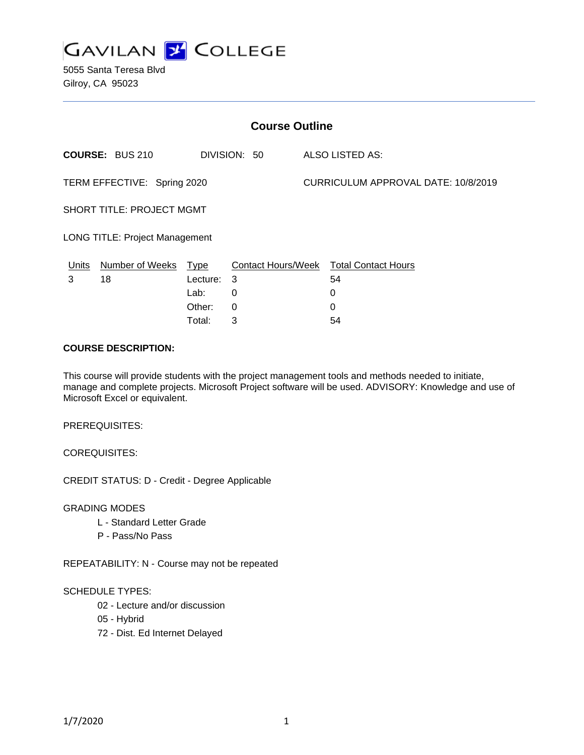

5055 Santa Teresa Blvd Gilroy, CA 95023

| <b>Course Outline</b>                 |                        |             |              |                                     |                                        |
|---------------------------------------|------------------------|-------------|--------------|-------------------------------------|----------------------------------------|
|                                       | <b>COURSE: BUS 210</b> |             | DIVISION: 50 |                                     | ALSO LISTED AS:                        |
| TERM EFFECTIVE: Spring 2020           |                        |             |              | CURRICULUM APPROVAL DATE: 10/8/2019 |                                        |
| SHORT TITLE: PROJECT MGMT             |                        |             |              |                                     |                                        |
| <b>LONG TITLE: Project Management</b> |                        |             |              |                                     |                                        |
| Units                                 | Number of Weeks        | <b>Type</b> |              |                                     | Contact Hours/Week Total Contact Hours |
| 3                                     | 18                     | Lecture:    | 3            |                                     | 54                                     |
|                                       |                        | Lab:        | 0            |                                     | 0                                      |
|                                       |                        | Other:      | 0            |                                     | 0                                      |
|                                       |                        | Total:      | 3            |                                     | 54                                     |

#### **COURSE DESCRIPTION:**

This course will provide students with the project management tools and methods needed to initiate, manage and complete projects. Microsoft Project software will be used. ADVISORY: Knowledge and use of Microsoft Excel or equivalent.

PREREQUISITES:

COREQUISITES:

CREDIT STATUS: D - Credit - Degree Applicable

GRADING MODES

- L Standard Letter Grade
- P Pass/No Pass

REPEATABILITY: N - Course may not be repeated

#### SCHEDULE TYPES:

- 02 Lecture and/or discussion
- 05 Hybrid
- 72 Dist. Ed Internet Delayed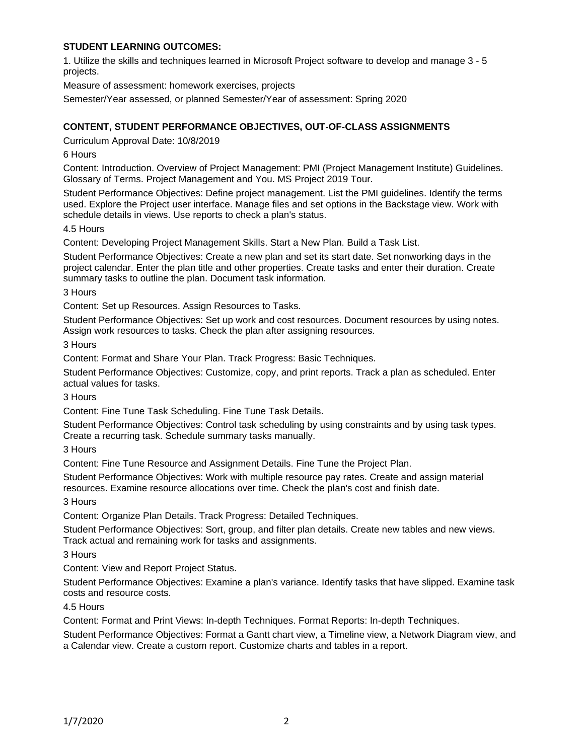## **STUDENT LEARNING OUTCOMES:**

1. Utilize the skills and techniques learned in Microsoft Project software to develop and manage 3 - 5 projects.

Measure of assessment: homework exercises, projects

Semester/Year assessed, or planned Semester/Year of assessment: Spring 2020

# **CONTENT, STUDENT PERFORMANCE OBJECTIVES, OUT-OF-CLASS ASSIGNMENTS**

Curriculum Approval Date: 10/8/2019

### 6 Hours

Content: Introduction. Overview of Project Management: PMI (Project Management Institute) Guidelines. Glossary of Terms. Project Management and You. MS Project 2019 Tour.

Student Performance Objectives: Define project management. List the PMI guidelines. Identify the terms used. Explore the Project user interface. Manage files and set options in the Backstage view. Work with schedule details in views. Use reports to check a plan's status.

#### 4.5 Hours

Content: Developing Project Management Skills. Start a New Plan. Build a Task List.

Student Performance Objectives: Create a new plan and set its start date. Set nonworking days in the project calendar. Enter the plan title and other properties. Create tasks and enter their duration. Create summary tasks to outline the plan. Document task information.

3 Hours

Content: Set up Resources. Assign Resources to Tasks.

Student Performance Objectives: Set up work and cost resources. Document resources by using notes. Assign work resources to tasks. Check the plan after assigning resources.

3 Hours

Content: Format and Share Your Plan. Track Progress: Basic Techniques.

Student Performance Objectives: Customize, copy, and print reports. Track a plan as scheduled. Enter actual values for tasks.

3 Hours

Content: Fine Tune Task Scheduling. Fine Tune Task Details.

Student Performance Objectives: Control task scheduling by using constraints and by using task types. Create a recurring task. Schedule summary tasks manually.

3 Hours

Content: Fine Tune Resource and Assignment Details. Fine Tune the Project Plan.

Student Performance Objectives: Work with multiple resource pay rates. Create and assign material resources. Examine resource allocations over time. Check the plan's cost and finish date.

3 Hours

Content: Organize Plan Details. Track Progress: Detailed Techniques.

Student Performance Objectives: Sort, group, and filter plan details. Create new tables and new views. Track actual and remaining work for tasks and assignments.

3 Hours

Content: View and Report Project Status.

Student Performance Objectives: Examine a plan's variance. Identify tasks that have slipped. Examine task costs and resource costs.

### 4.5 Hours

Content: Format and Print Views: In-depth Techniques. Format Reports: In-depth Techniques.

Student Performance Objectives: Format a Gantt chart view, a Timeline view, a Network Diagram view, and a Calendar view. Create a custom report. Customize charts and tables in a report.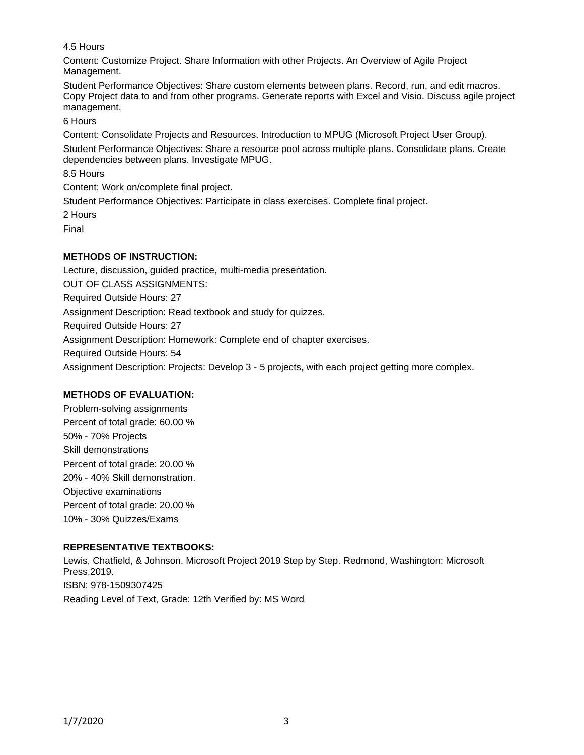4.5 Hours

Content: Customize Project. Share Information with other Projects. An Overview of Agile Project Management.

Student Performance Objectives: Share custom elements between plans. Record, run, and edit macros. Copy Project data to and from other programs. Generate reports with Excel and Visio. Discuss agile project management.

6 Hours

Content: Consolidate Projects and Resources. Introduction to MPUG (Microsoft Project User Group).

Student Performance Objectives: Share a resource pool across multiple plans. Consolidate plans. Create dependencies between plans. Investigate MPUG.

8.5 Hours

Content: Work on/complete final project.

Student Performance Objectives: Participate in class exercises. Complete final project.

2 Hours

Final

# **METHODS OF INSTRUCTION:**

Lecture, discussion, guided practice, multi-media presentation. OUT OF CLASS ASSIGNMENTS: Required Outside Hours: 27 Assignment Description: Read textbook and study for quizzes. Required Outside Hours: 27 Assignment Description: Homework: Complete end of chapter exercises. Required Outside Hours: 54 Assignment Description: Projects: Develop 3 - 5 projects, with each project getting more complex.

# **METHODS OF EVALUATION:**

Problem-solving assignments Percent of total grade: 60.00 % 50% - 70% Projects Skill demonstrations Percent of total grade: 20.00 % 20% - 40% Skill demonstration. Objective examinations Percent of total grade: 20.00 % 10% - 30% Quizzes/Exams

# **REPRESENTATIVE TEXTBOOKS:**

Lewis, Chatfield, & Johnson. Microsoft Project 2019 Step by Step. Redmond, Washington: Microsoft Press,2019. ISBN: 978-1509307425 Reading Level of Text, Grade: 12th Verified by: MS Word